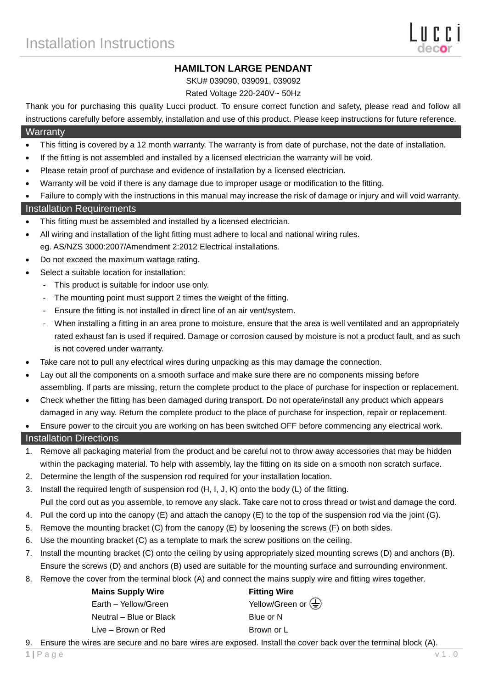# **HAMILTON LARGE PENDANT**

SKU# 039090, 039091, 039092

Rated Voltage 220-240V~ 50Hz

Thank you for purchasing this quality Lucci product. To ensure correct function and safety, please read and follow all instructions carefully before assembly, installation and use of this product. Please keep instructions for future reference.

#### **Warranty**

- This fitting is covered by a 12 month warranty. The warranty is from date of purchase, not the date of installation.
- If the fitting is not assembled and installed by a licensed electrician the warranty will be void.
- Please retain proof of purchase and evidence of installation by a licensed electrician.
- Warranty will be void if there is any damage due to improper usage or modification to the fitting.
- Failure to comply with the instructions in this manual may increase the risk of damage or injury and will void warranty.

### Installation Requirements

- This fitting must be assembled and installed by a licensed electrician.
- All wiring and installation of the light fitting must adhere to local and national wiring rules. eg. AS/NZS 3000:2007/Amendment 2:2012 Electrical installations.
- Do not exceed the maximum wattage rating.
- Select a suitable location for installation:
	- This product is suitable for indoor use only.
	- The mounting point must support 2 times the weight of the fitting.
	- Ensure the fitting is not installed in direct line of an air vent/system.
	- When installing a fitting in an area prone to moisture, ensure that the area is well ventilated and an appropriately rated exhaust fan is used if required. Damage or corrosion caused by moisture is not a product fault, and as such is not covered under warranty.
- Take care not to pull any electrical wires during unpacking as this may damage the connection.
- Lay out all the components on a smooth surface and make sure there are no components missing before assembling. If parts are missing, return the complete product to the place of purchase for inspection or replacement.
- Check whether the fitting has been damaged during transport. Do not operate/install any product which appears damaged in any way. Return the complete product to the place of purchase for inspection, repair or replacement.
- Ensure power to the circuit you are working on has been switched OFF before commencing any electrical work.

### Installation Directions

- 1. Remove all packaging material from the product and be careful not to throw away accessories that may be hidden within the packaging material. To help with assembly, lay the fitting on its side on a smooth non scratch surface.
- 2. Determine the length of the suspension rod required for your installation location.
- 3. Install the required length of suspension rod (H, I, J, K) onto the body (L) of the fitting. Pull the cord out as you assemble, to remove any slack. Take care not to cross thread or twist and damage the cord.
- 4. Pull the cord up into the canopy (E) and attach the canopy (E) to the top of the suspension rod via the joint (G).
- 5. Remove the mounting bracket (C) from the canopy (E) by loosening the screws (F) on both sides.
- 6. Use the mounting bracket (C) as a template to mark the screw positions on the ceiling.
- 7. Install the mounting bracket (C) onto the ceiling by using appropriately sized mounting screws (D) and anchors (B). Ensure the screws (D) and anchors (B) used are suitable for the mounting surface and surrounding environment.
- 8. Remove the cover from the terminal block (A) and connect the mains supply wire and fitting wires together.

| <b>Mains Supply Wire</b> | <b>Fitting Wire</b>                             |
|--------------------------|-------------------------------------------------|
| Earth - Yellow/Green     | Yellow/Green or $\left(\frac{\Gamma}{n}\right)$ |
| Neutral – Blue or Black  | Blue or N                                       |
| Live – Brown or Red      | Brown or L                                      |

9. Ensure the wires are secure and no bare wires are exposed. Install the cover back over the terminal block (A).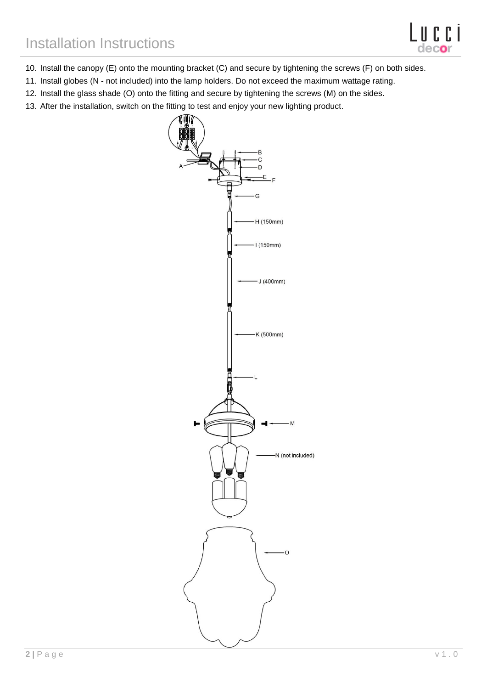- 10. Install the canopy (E) onto the mounting bracket (C) and secure by tightening the screws (F) on both sides.
- 11. Install globes (N not included) into the lamp holders. Do not exceed the maximum wattage rating.
- 12. Install the glass shade (O) onto the fitting and secure by tightening the screws (M) on the sides.
- 13. After the installation, switch on the fitting to test and enjoy your new lighting product.